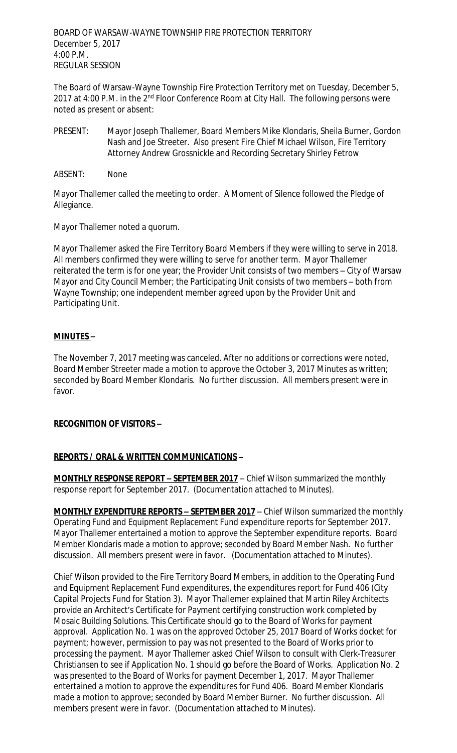BOARD OF WARSAW-WAYNE TOWNSHIP FIRE PROTECTION TERRITORY December 5, 2017 4:00 P.M. REGULAR SESSION

The Board of Warsaw-Wayne Township Fire Protection Territory met on Tuesday, December 5, 2017 at 4:00 P.M. in the 2<sup>nd</sup> Floor Conference Room at City Hall. The following persons were noted as present or absent:

- PRESENT: Mayor Joseph Thallemer, Board Members Mike Klondaris, Sheila Burner, Gordon Nash and Joe Streeter. Also present Fire Chief Michael Wilson, Fire Territory Attorney Andrew Grossnickle and Recording Secretary Shirley Fetrow
- ABSENT: None

Mayor Thallemer called the meeting to order. A Moment of Silence followed the Pledge of Allegiance.

Mayor Thallemer noted a quorum.

Mayor Thallemer asked the Fire Territory Board Members if they were willing to serve in 2018. All members confirmed they were willing to serve for another term. Mayor Thallemer reiterated the term is for one year; the Provider Unit consists of two members – City of Warsaw Mayor and City Council Member; the Participating Unit consists of two members – both from Wayne Township; one independent member agreed upon by the Provider Unit and Participating Unit.

# **MINUTES –**

The November 7, 2017 meeting was canceled. After no additions or corrections were noted, Board Member Streeter made a motion to approve the October 3, 2017 Minutes as written; seconded by Board Member Klondaris. No further discussion. All members present were in favor.

### **RECOGNITION OF VISITORS –**

# **REPORTS / ORAL & WRITTEN COMMUNICATIONS –**

**MONTHLY RESPONSE REPORT – SEPTEMBER 2017** – Chief Wilson summarized the monthly response report for September 2017. (Documentation attached to Minutes).

**MONTHLY EXPENDITURE REPORTS – SEPTEMBER 2017** – Chief Wilson summarized the monthly Operating Fund and Equipment Replacement Fund expenditure reports for September 2017. Mayor Thallemer entertained a motion to approve the September expenditure reports. Board Member Klondaris made a motion to approve; seconded by Board Member Nash. No further discussion. All members present were in favor. (Documentation attached to Minutes).

Chief Wilson provided to the Fire Territory Board Members, in addition to the Operating Fund and Equipment Replacement Fund expenditures, the expenditures report for Fund 406 (City Capital Projects Fund for Station 3). Mayor Thallemer explained that Martin Riley Architects provide an Architect's Certificate for Payment certifying construction work completed by Mosaic Building Solutions. This Certificate should go to the Board of Works for payment approval. Application No. 1 was on the approved October 25, 2017 Board of Works docket for payment; however, permission to pay was not presented to the Board of Works prior to processing the payment. Mayor Thallemer asked Chief Wilson to consult with Clerk-Treasurer Christiansen to see if Application No. 1 should go before the Board of Works. Application No. 2 was presented to the Board of Works for payment December 1, 2017. Mayor Thallemer entertained a motion to approve the expenditures for Fund 406. Board Member Klondaris made a motion to approve; seconded by Board Member Burner. No further discussion. All members present were in favor. (Documentation attached to Minutes).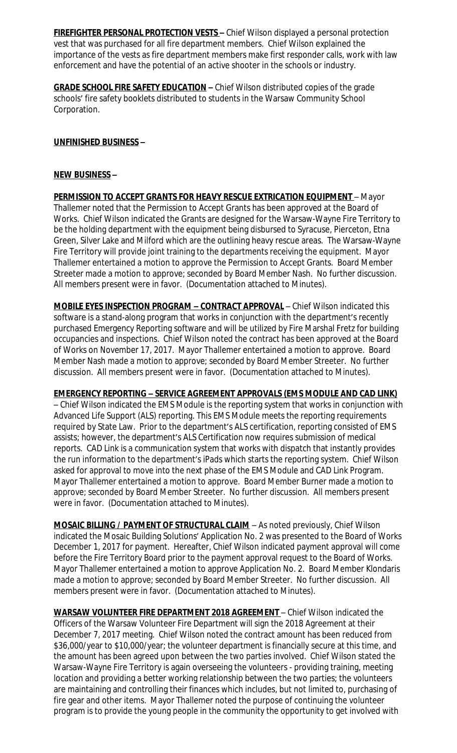**FIREFIGHTER PERSONAL PROTECTION VESTS –** Chief Wilson displayed a personal protection vest that was purchased for all fire department members. Chief Wilson explained the importance of the vests as fire department members make first responder calls, work with law enforcement and have the potential of an active shooter in the schools or industry.

**GRADE SCHOOL FIRE SAFETY EDUCATION –** Chief Wilson distributed copies of the grade schools' fire safety booklets distributed to students in the Warsaw Community School Corporation.

### **UNFINISHED BUSINESS –**

### **NEW BUSINESS –**

**PERMISSION TO ACCEPT GRANTS FOR HEAVY RESCUE EXTRICATION EQUIPMENT** – Mayor Thallemer noted that the Permission to Accept Grants has been approved at the Board of Works. Chief Wilson indicated the Grants are designed for the Warsaw-Wayne Fire Territory to be the holding department with the equipment being disbursed to Syracuse, Pierceton, Etna Green, Silver Lake and Milford which are the outlining heavy rescue areas. The Warsaw-Wayne Fire Territory will provide joint training to the departments receiving the equipment. Mayor Thallemer entertained a motion to approve the Permission to Accept Grants. Board Member Streeter made a motion to approve; seconded by Board Member Nash. No further discussion. All members present were in favor. (Documentation attached to Minutes).

**MOBILE EYES INSPECTION PROGRAM – CONTRACT APPROVAL** – Chief Wilson indicated this software is a stand-along program that works in conjunction with the department's recently purchased Emergency Reporting software and will be utilized by Fire Marshal Fretz for building occupancies and inspections. Chief Wilson noted the contract has been approved at the Board of Works on November 17, 2017. Mayor Thallemer entertained a motion to approve. Board Member Nash made a motion to approve; seconded by Board Member Streeter. No further discussion. All members present were in favor. (Documentation attached to Minutes).

**EMERGENCY REPORTING – SERVICE AGREEMENT APPROVALS (EMS MODULE AND CAD LINK)** – Chief Wilson indicated the EMS Module is the reporting system that works in conjunction with Advanced Life Support (ALS) reporting. This EMS Module meets the reporting requirements required by State Law. Prior to the department's ALS certification, reporting consisted of EMS assists; however, the department's ALS Certification now requires submission of medical reports. CAD Link is a communication system that works with dispatch that instantly provides the run information to the department's iPads which starts the reporting system. Chief Wilson asked for approval to move into the next phase of the EMS Module and CAD Link Program. Mayor Thallemer entertained a motion to approve. Board Member Burner made a motion to approve; seconded by Board Member Streeter. No further discussion. All members present were in favor. (Documentation attached to Minutes).

**MOSAIC BILLING / PAYMENT OF STRUCTURAL CLAIM** – As noted previously, Chief Wilson indicated the Mosaic Building Solutions' Application No. 2 was presented to the Board of Works December 1, 2017 for payment. Hereafter, Chief Wilson indicated payment approval will come before the Fire Territory Board prior to the payment approval request to the Board of Works. Mayor Thallemer entertained a motion to approve Application No. 2. Board Member Klondaris made a motion to approve; seconded by Board Member Streeter. No further discussion. All members present were in favor. (Documentation attached to Minutes).

**WARSAW VOLUNTEER FIRE DEPARTMENT 2018 AGREEMENT** – Chief Wilson indicated the Officers of the Warsaw Volunteer Fire Department will sign the 2018 Agreement at their December 7, 2017 meeting. Chief Wilson noted the contract amount has been reduced from \$36,000/year to \$10,000/year; the volunteer department is financially secure at this time, and the amount has been agreed upon between the two parties involved. Chief Wilson stated the Warsaw-Wayne Fire Territory is again overseeing the volunteers - providing training, meeting location and providing a better working relationship between the two parties; the volunteers are maintaining and controlling their finances which includes, but not limited to, purchasing of fire gear and other items. Mayor Thallemer noted the purpose of continuing the volunteer program is to provide the young people in the community the opportunity to get involved with